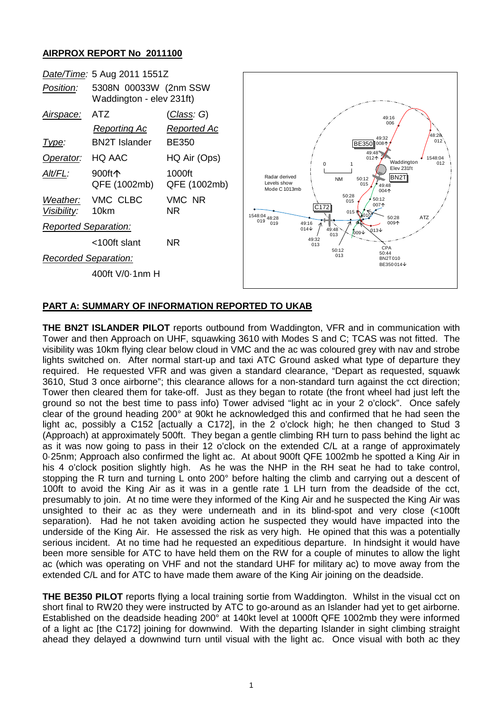## **AIRPROX REPORT No 2011100**



## **PART A: SUMMARY OF INFORMATION REPORTED TO UKAB**

**THE BN2T ISLANDER PILOT** reports outbound from Waddington, VFR and in communication with Tower and then Approach on UHF, squawking 3610 with Modes S and C; TCAS was not fitted. The visibility was 10km flying clear below cloud in VMC and the ac was coloured grey with nav and strobe lights switched on. After normal start-up and taxi ATC Ground asked what type of departure they required. He requested VFR and was given a standard clearance, "Depart as requested, squawk 3610, Stud 3 once airborne"; this clearance allows for a non-standard turn against the cct direction; Tower then cleared them for take-off. Just as they began to rotate (the front wheel had just left the ground so not the best time to pass info) Tower advised "light ac in your 2 o'clock". Once safely clear of the ground heading 200° at 90kt he acknowledged this and confirmed that he had seen the light ac, possibly a C152 [actually a C172], in the 2 o'clock high; he then changed to Stud 3 (Approach) at approximately 500ft. They began a gentle climbing RH turn to pass behind the light ac as it was now going to pass in their 12 o'clock on the extended C/L at a range of approximately 0·25nm; Approach also confirmed the light ac. At about 900ft QFE 1002mb he spotted a King Air in his 4 o'clock position slightly high. As he was the NHP in the RH seat he had to take control, stopping the R turn and turning L onto 200° before halting the climb and carrying out a descent of 100ft to avoid the King Air as it was in a gentle rate 1 LH turn from the deadside of the cct, presumably to join. At no time were they informed of the King Air and he suspected the King Air was unsighted to their ac as they were underneath and in its blind-spot and very close (<100ft separation). Had he not taken avoiding action he suspected they would have impacted into the underside of the King Air. He assessed the risk as very high. He opined that this was a potentially serious incident. At no time had he requested an expeditious departure. In hindsight it would have been more sensible for ATC to have held them on the RW for a couple of minutes to allow the light ac (which was operating on VHF and not the standard UHF for military ac) to move away from the extended C/L and for ATC to have made them aware of the King Air joining on the deadside.

**THE BE350 PILOT** reports flying a local training sortie from Waddington. Whilst in the visual cct on short final to RW20 they were instructed by ATC to go-around as an Islander had yet to get airborne. Established on the deadside heading 200° at 140kt level at 1000ft QFE 1002mb they were informed of a light ac [the C172] joining for downwind. With the departing Islander in sight climbing straight ahead they delayed a downwind turn until visual with the light ac. Once visual with both ac they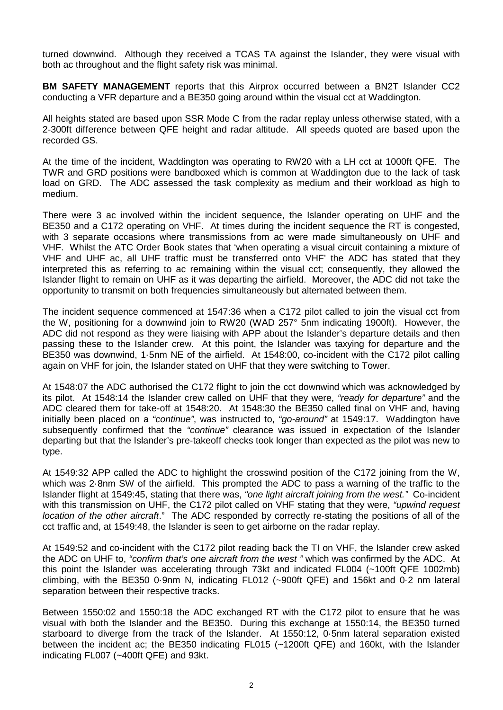turned downwind. Although they received a TCAS TA against the Islander, they were visual with both ac throughout and the flight safety risk was minimal.

**BM SAFETY MANAGEMENT** reports that this Airprox occurred between a BN2T Islander CC2 conducting a VFR departure and a BE350 going around within the visual cct at Waddington.

All heights stated are based upon SSR Mode C from the radar replay unless otherwise stated, with a 2-300ft difference between QFE height and radar altitude. All speeds quoted are based upon the recorded GS.

At the time of the incident, Waddington was operating to RW20 with a LH cct at 1000ft QFE. The TWR and GRD positions were bandboxed which is common at Waddington due to the lack of task load on GRD. The ADC assessed the task complexity as medium and their workload as high to medium.

There were 3 ac involved within the incident sequence, the Islander operating on UHF and the BE350 and a C172 operating on VHF. At times during the incident sequence the RT is congested, with 3 separate occasions where transmissions from ac were made simultaneously on UHF and VHF. Whilst the ATC Order Book states that 'when operating a visual circuit containing a mixture of VHF and UHF ac, all UHF traffic must be transferred onto VHF' the ADC has stated that they interpreted this as referring to ac remaining within the visual cct; consequently, they allowed the Islander flight to remain on UHF as it was departing the airfield. Moreover, the ADC did not take the opportunity to transmit on both frequencies simultaneously but alternated between them.

The incident sequence commenced at 1547:36 when a C172 pilot called to join the visual cct from the W, positioning for a downwind join to RW20 (WAD 257° 5nm indicating 1900ft). However, the ADC did not respond as they were liaising with APP about the Islander's departure details and then passing these to the Islander crew. At this point, the Islander was taxying for departure and the BE350 was downwind, 1·5nm NE of the airfield. At 1548:00, co-incident with the C172 pilot calling again on VHF for join, the Islander stated on UHF that they were switching to Tower.

At 1548:07 the ADC authorised the C172 flight to join the cct downwind which was acknowledged by its pilot. At 1548:14 the Islander crew called on UHF that they were, *"ready for departure"* and the ADC cleared them for take-off at 1548:20. At 1548:30 the BE350 called final on VHF and, having initially been placed on a *"continue"*, was instructed to, *"go-around"* at 1549:17. Waddington have subsequently confirmed that the *"continue"* clearance was issued in expectation of the Islander departing but that the Islander's pre-takeoff checks took longer than expected as the pilot was new to type.

At 1549:32 APP called the ADC to highlight the crosswind position of the C172 joining from the W, which was 2.8nm SW of the airfield. This prompted the ADC to pass a warning of the traffic to the Islander flight at 1549:45, stating that there was, *"one light aircraft joining from the west."* Co-incident with this transmission on UHF, the C172 pilot called on VHF stating that they were, *"upwind request location of the other aircraft*." The ADC responded by correctly re-stating the positions of all of the cct traffic and, at 1549:48, the Islander is seen to get airborne on the radar replay.

At 1549:52 and co-incident with the C172 pilot reading back the TI on VHF, the Islander crew asked the ADC on UHF to, *"confirm that's one aircraft from the west "* which was confirmed by the ADC. At this point the Islander was accelerating through 73kt and indicated FL004 (~100ft QFE 1002mb) climbing, with the BE350 0·9nm N, indicating FL012 (~900ft QFE) and 156kt and 0·2 nm lateral separation between their respective tracks.

Between 1550:02 and 1550:18 the ADC exchanged RT with the C172 pilot to ensure that he was visual with both the Islander and the BE350. During this exchange at 1550:14, the BE350 turned starboard to diverge from the track of the Islander. At 1550:12, 0·5nm lateral separation existed between the incident ac; the BE350 indicating FL015 (~1200ft QFE) and 160kt, with the Islander indicating FL007 (~400ft QFE) and 93kt.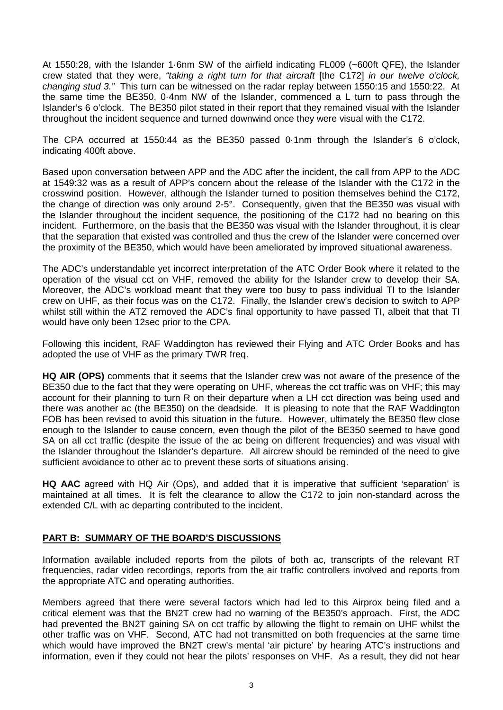At 1550:28, with the Islander 1·6nm SW of the airfield indicating FL009 (~600ft QFE), the Islander crew stated that they were, *"taking a right turn for that aircraft* [the C172] *in our twelve o'clock, changing stud 3."* This turn can be witnessed on the radar replay between 1550:15 and 1550:22. At the same time the BE350, 0·4nm NW of the Islander, commenced a L turn to pass through the Islander's 6 o'clock. The BE350 pilot stated in their report that they remained visual with the Islander throughout the incident sequence and turned downwind once they were visual with the C172.

The CPA occurred at 1550:44 as the BE350 passed 0·1nm through the Islander's 6 o'clock, indicating 400ft above.

Based upon conversation between APP and the ADC after the incident, the call from APP to the ADC at 1549:32 was as a result of APP's concern about the release of the Islander with the C172 in the crosswind position. However, although the Islander turned to position themselves behind the C172, the change of direction was only around 2-5°. Consequently, given that the BE350 was visual with the Islander throughout the incident sequence, the positioning of the C172 had no bearing on this incident. Furthermore, on the basis that the BE350 was visual with the Islander throughout, it is clear that the separation that existed was controlled and thus the crew of the Islander were concerned over the proximity of the BE350, which would have been ameliorated by improved situational awareness.

The ADC's understandable yet incorrect interpretation of the ATC Order Book where it related to the operation of the visual cct on VHF, removed the ability for the Islander crew to develop their SA. Moreover, the ADC's workload meant that they were too busy to pass individual TI to the Islander crew on UHF, as their focus was on the C172. Finally, the Islander crew's decision to switch to APP whilst still within the ATZ removed the ADC's final opportunity to have passed TI, albeit that that TI would have only been 12sec prior to the CPA.

Following this incident, RAF Waddington has reviewed their Flying and ATC Order Books and has adopted the use of VHF as the primary TWR freq.

**HQ AIR (OPS)** comments that it seems that the Islander crew was not aware of the presence of the BE350 due to the fact that they were operating on UHF, whereas the cct traffic was on VHF; this may account for their planning to turn R on their departure when a LH cct direction was being used and there was another ac (the BE350) on the deadside. It is pleasing to note that the RAF Waddington FOB has been revised to avoid this situation in the future. However, ultimately the BE350 flew close enough to the Islander to cause concern, even though the pilot of the BE350 seemed to have good SA on all cct traffic (despite the issue of the ac being on different frequencies) and was visual with the Islander throughout the Islander's departure. All aircrew should be reminded of the need to give sufficient avoidance to other ac to prevent these sorts of situations arising.

**HQ AAC** agreed with HQ Air (Ops), and added that it is imperative that sufficient 'separation' is maintained at all times. It is felt the clearance to allow the C172 to join non-standard across the extended C/L with ac departing contributed to the incident.

## **PART B: SUMMARY OF THE BOARD'S DISCUSSIONS**

Information available included reports from the pilots of both ac, transcripts of the relevant RT frequencies, radar video recordings, reports from the air traffic controllers involved and reports from the appropriate ATC and operating authorities.

Members agreed that there were several factors which had led to this Airprox being filed and a critical element was that the BN2T crew had no warning of the BE350's approach. First, the ADC had prevented the BN2T gaining SA on cct traffic by allowing the flight to remain on UHF whilst the other traffic was on VHF. Second, ATC had not transmitted on both frequencies at the same time which would have improved the BN2T crew's mental 'air picture' by hearing ATC's instructions and information, even if they could not hear the pilots' responses on VHF. As a result, they did not hear